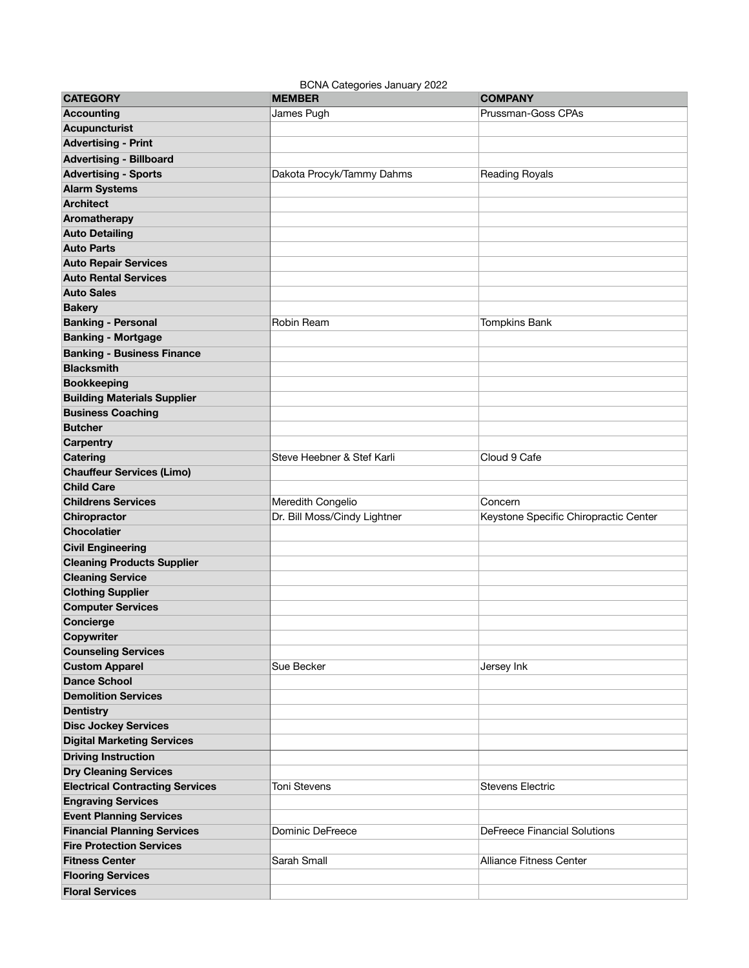BCNA Categories January 2022

| <b>CATEGORY</b>                        | <b>MEMBER</b>                | <b>COMPANY</b>                        |
|----------------------------------------|------------------------------|---------------------------------------|
| <b>Accounting</b>                      | James Pugh                   | Prussman-Goss CPAs                    |
| <b>Acupuncturist</b>                   |                              |                                       |
| <b>Advertising - Print</b>             |                              |                                       |
| <b>Advertising - Billboard</b>         |                              |                                       |
| <b>Advertising - Sports</b>            | Dakota Procyk/Tammy Dahms    | Reading Royals                        |
| <b>Alarm Systems</b>                   |                              |                                       |
| <b>Architect</b>                       |                              |                                       |
| Aromatherapy                           |                              |                                       |
| <b>Auto Detailing</b>                  |                              |                                       |
| <b>Auto Parts</b>                      |                              |                                       |
| <b>Auto Repair Services</b>            |                              |                                       |
| <b>Auto Rental Services</b>            |                              |                                       |
| <b>Auto Sales</b>                      |                              |                                       |
| <b>Bakery</b>                          |                              |                                       |
| <b>Banking - Personal</b>              | Robin Ream                   | <b>Tompkins Bank</b>                  |
| <b>Banking - Mortgage</b>              |                              |                                       |
| <b>Banking - Business Finance</b>      |                              |                                       |
| <b>Blacksmith</b>                      |                              |                                       |
| <b>Bookkeeping</b>                     |                              |                                       |
| <b>Building Materials Supplier</b>     |                              |                                       |
| <b>Business Coaching</b>               |                              |                                       |
| <b>Butcher</b>                         |                              |                                       |
| Carpentry                              |                              |                                       |
| Catering                               | Steve Heebner & Stef Karli   | Cloud 9 Cafe                          |
| <b>Chauffeur Services (Limo)</b>       |                              |                                       |
| <b>Child Care</b>                      |                              |                                       |
| <b>Childrens Services</b>              | Meredith Congelio            | Concern                               |
| Chiropractor                           | Dr. Bill Moss/Cindy Lightner | Keystone Specific Chiropractic Center |
| <b>Chocolatier</b>                     |                              |                                       |
| <b>Civil Engineering</b>               |                              |                                       |
| <b>Cleaning Products Supplier</b>      |                              |                                       |
| <b>Cleaning Service</b>                |                              |                                       |
| <b>Clothing Supplier</b>               |                              |                                       |
| <b>Computer Services</b>               |                              |                                       |
| Concierge                              |                              |                                       |
| Copywriter                             |                              |                                       |
| <b>Counseling Services</b>             |                              |                                       |
| <b>Custom Apparel</b>                  | Sue Becker                   | Jersey Ink                            |
| <b>Dance School</b>                    |                              |                                       |
| <b>Demolition Services</b>             |                              |                                       |
| <b>Dentistry</b>                       |                              |                                       |
| <b>Disc Jockey Services</b>            |                              |                                       |
| <b>Digital Marketing Services</b>      |                              |                                       |
| <b>Driving Instruction</b>             |                              |                                       |
| <b>Dry Cleaning Services</b>           |                              |                                       |
| <b>Electrical Contracting Services</b> | <b>Toni Stevens</b>          | <b>Stevens Electric</b>               |
| <b>Engraving Services</b>              |                              |                                       |
| <b>Event Planning Services</b>         |                              |                                       |
| <b>Financial Planning Services</b>     | Dominic DeFreece             | <b>DeFreece Financial Solutions</b>   |
| <b>Fire Protection Services</b>        |                              |                                       |
| <b>Fitness Center</b>                  | Sarah Small                  | <b>Alliance Fitness Center</b>        |
| <b>Flooring Services</b>               |                              |                                       |
| <b>Floral Services</b>                 |                              |                                       |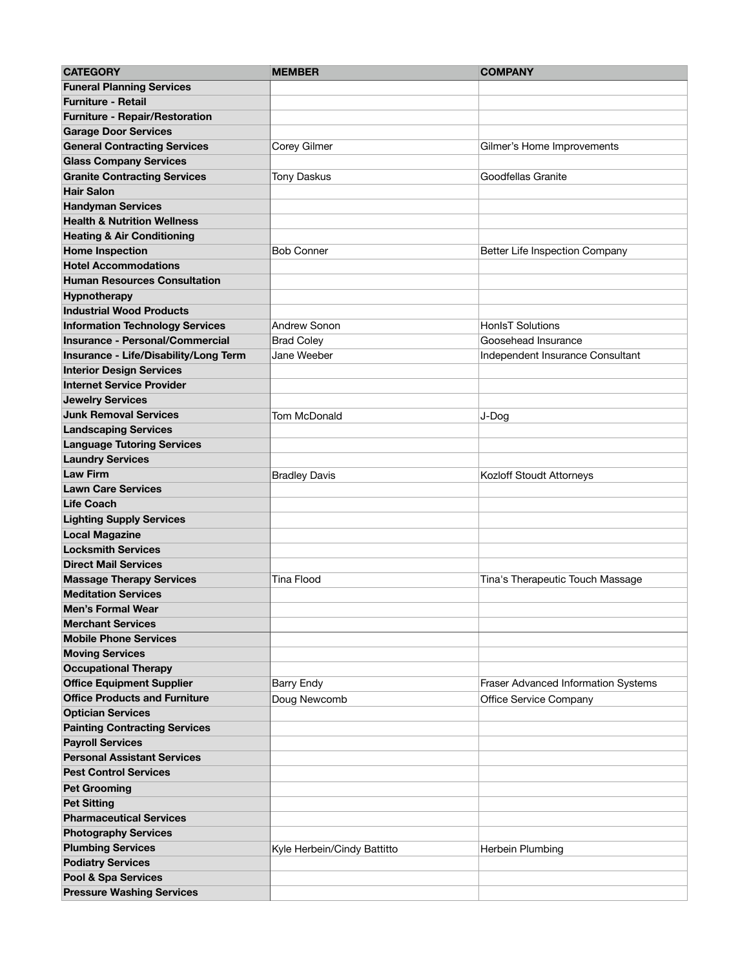| <b>CATEGORY</b>                        | <b>MEMBER</b>               | <b>COMPANY</b>                      |
|----------------------------------------|-----------------------------|-------------------------------------|
| <b>Funeral Planning Services</b>       |                             |                                     |
| <b>Furniture - Retail</b>              |                             |                                     |
| <b>Furniture - Repair/Restoration</b>  |                             |                                     |
| <b>Garage Door Services</b>            |                             |                                     |
| <b>General Contracting Services</b>    | Corey Gilmer                | Gilmer's Home Improvements          |
| <b>Glass Company Services</b>          |                             |                                     |
| <b>Granite Contracting Services</b>    | <b>Tony Daskus</b>          | Goodfellas Granite                  |
| <b>Hair Salon</b>                      |                             |                                     |
| <b>Handyman Services</b>               |                             |                                     |
| <b>Health &amp; Nutrition Wellness</b> |                             |                                     |
| <b>Heating &amp; Air Conditioning</b>  |                             |                                     |
| <b>Home Inspection</b>                 | <b>Bob Conner</b>           | Better Life Inspection Company      |
| <b>Hotel Accommodations</b>            |                             |                                     |
| <b>Human Resources Consultation</b>    |                             |                                     |
| Hypnotherapy                           |                             |                                     |
| <b>Industrial Wood Products</b>        |                             |                                     |
| <b>Information Technology Services</b> | Andrew Sonon                | <b>HonlsT Solutions</b>             |
| <b>Insurance - Personal/Commercial</b> | <b>Brad Coley</b>           | Goosehead Insurance                 |
| Insurance - Life/Disability/Long Term  | Jane Weeber                 | Independent Insurance Consultant    |
| <b>Interior Design Services</b>        |                             |                                     |
| <b>Internet Service Provider</b>       |                             |                                     |
| <b>Jewelry Services</b>                |                             |                                     |
| <b>Junk Removal Services</b>           | Tom McDonald                | J-Dog                               |
| <b>Landscaping Services</b>            |                             |                                     |
| <b>Language Tutoring Services</b>      |                             |                                     |
| <b>Laundry Services</b>                |                             |                                     |
| <b>Law Firm</b>                        | <b>Bradley Davis</b>        | Kozloff Stoudt Attorneys            |
| <b>Lawn Care Services</b>              |                             |                                     |
| <b>Life Coach</b>                      |                             |                                     |
| <b>Lighting Supply Services</b>        |                             |                                     |
| <b>Local Magazine</b>                  |                             |                                     |
| <b>Locksmith Services</b>              |                             |                                     |
| <b>Direct Mail Services</b>            |                             |                                     |
| <b>Massage Therapy Services</b>        | <b>Tina Flood</b>           | Tina's Therapeutic Touch Massage    |
| <b>Meditation Services</b>             |                             |                                     |
| <b>Men's Formal Wear</b>               |                             |                                     |
| <b>Merchant Services</b>               |                             |                                     |
| <b>Mobile Phone Services</b>           |                             |                                     |
| <b>Moving Services</b>                 |                             |                                     |
| <b>Occupational Therapy</b>            |                             |                                     |
| <b>Office Equipment Supplier</b>       | <b>Barry Endy</b>           | Fraser Advanced Information Systems |
| <b>Office Products and Furniture</b>   | Doug Newcomb                | Office Service Company              |
| <b>Optician Services</b>               |                             |                                     |
| <b>Painting Contracting Services</b>   |                             |                                     |
| <b>Payroll Services</b>                |                             |                                     |
| <b>Personal Assistant Services</b>     |                             |                                     |
| <b>Pest Control Services</b>           |                             |                                     |
| <b>Pet Grooming</b>                    |                             |                                     |
| <b>Pet Sitting</b>                     |                             |                                     |
| <b>Pharmaceutical Services</b>         |                             |                                     |
| <b>Photography Services</b>            |                             |                                     |
| <b>Plumbing Services</b>               | Kyle Herbein/Cindy Battitto | Herbein Plumbing                    |
| <b>Podiatry Services</b>               |                             |                                     |
| Pool & Spa Services                    |                             |                                     |
| <b>Pressure Washing Services</b>       |                             |                                     |